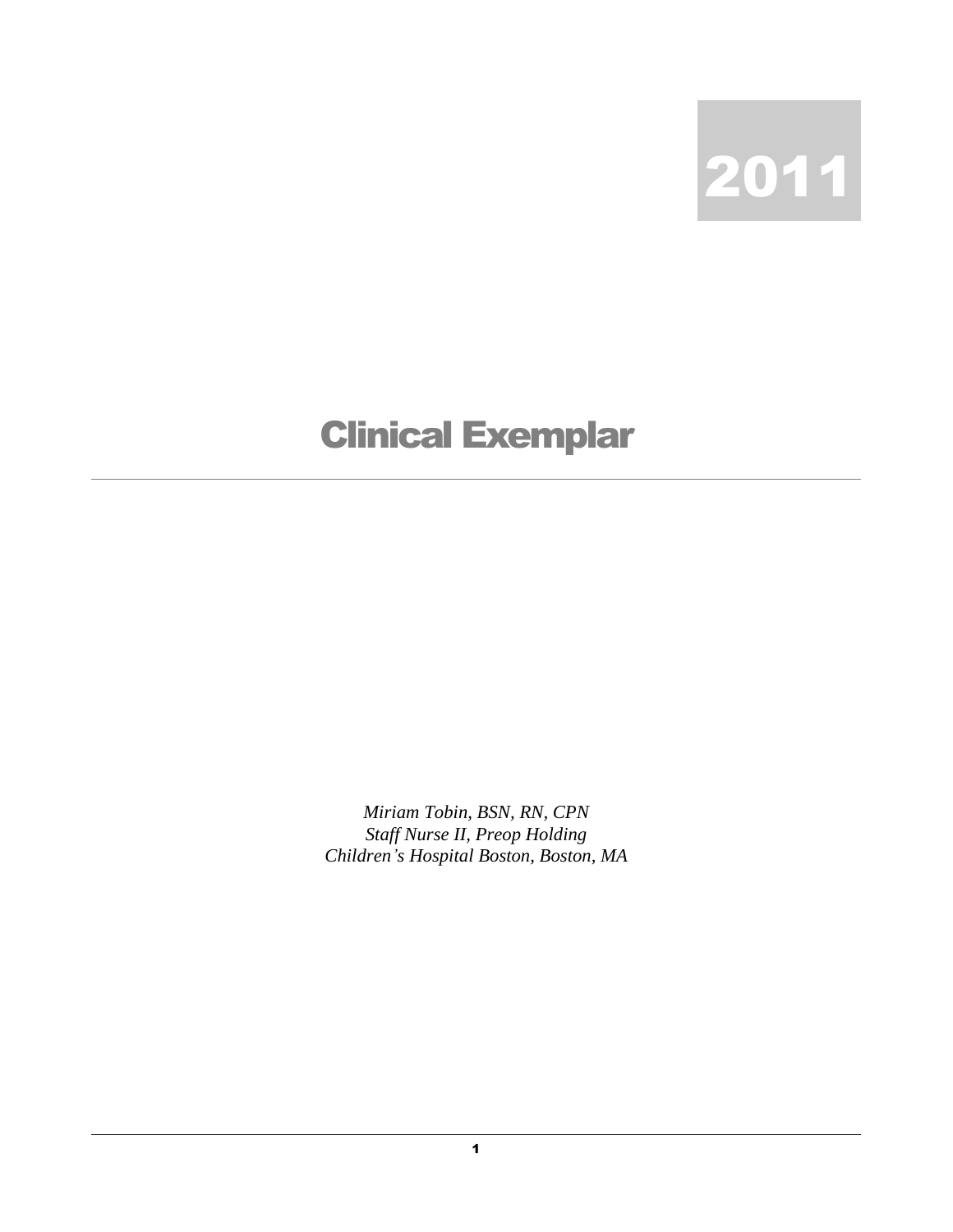

## Clinical Exemplar

*Miriam Tobin, BSN, RN, CPN Staff Nurse II, Preop Holding Children's Hospital Boston, Boston, MA*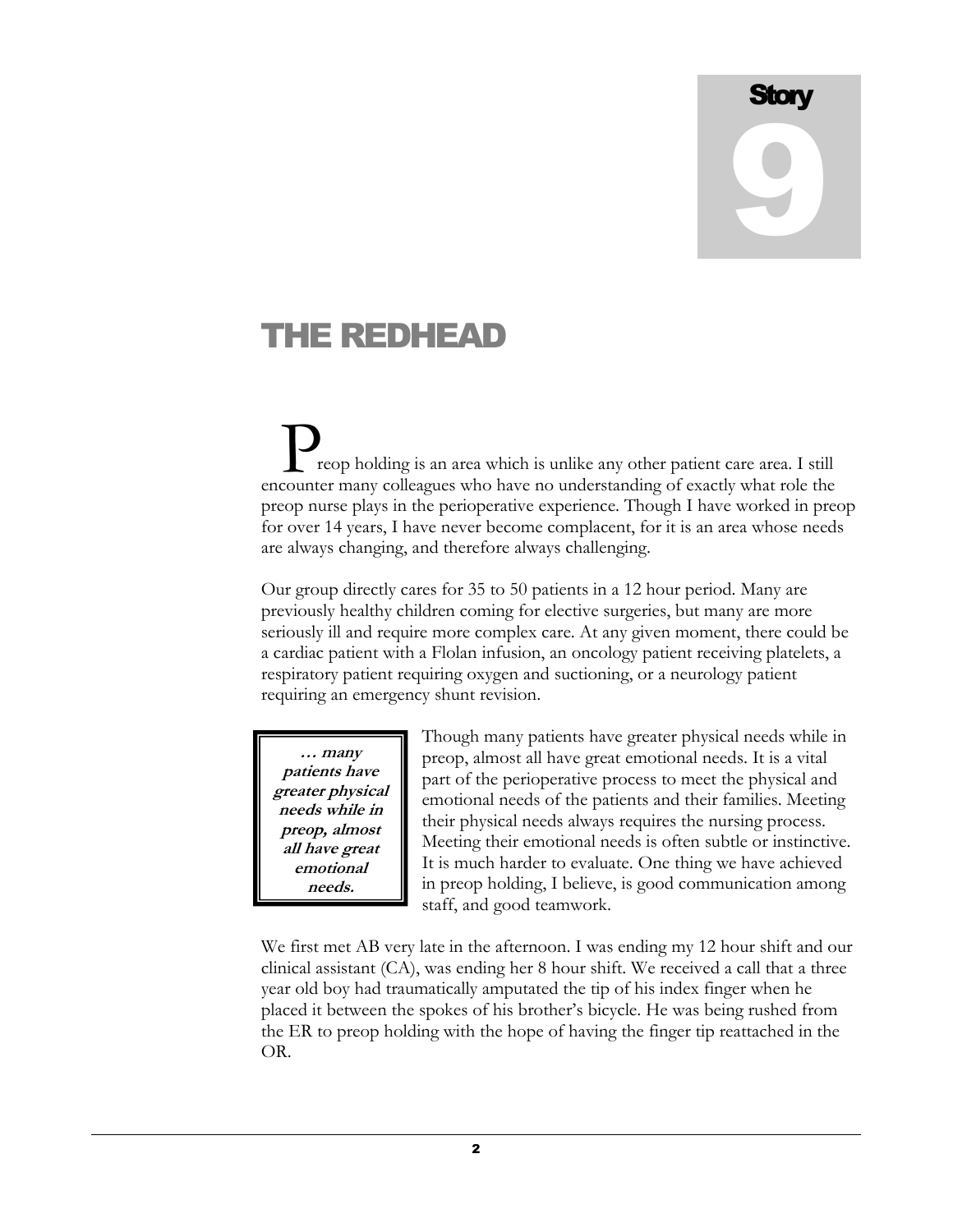## **Story** 9

## THE REDHEAD

reop holding is an area which is unlike any other patient care area. I still Peop holding is an area which is unlike any other patient care area. I still encounter many colleagues who have no understanding of exactly what role the preop nurse plays in the perioperative experience. Though I have worked in preop for over 14 years, I have never become complacent, for it is an area whose needs are always changing, and therefore always challenging.

Our group directly cares for 35 to 50 patients in a 12 hour period. Many are previously healthy children coming for elective surgeries, but many are more seriously ill and require more complex care. At any given moment, there could be a cardiac patient with a Flolan infusion, an oncology patient receiving platelets, a respiratory patient requiring oxygen and suctioning, or a neurology patient requiring an emergency shunt revision.

**… many patients have greater physical needs while in preop, almost all have great emotional needs.**

Though many patients have greater physical needs while in preop, almost all have great emotional needs. It is a vital part of the perioperative process to meet the physical and emotional needs of the patients and their families. Meeting their physical needs always requires the nursing process. Meeting their emotional needs is often subtle or instinctive. It is much harder to evaluate. One thing we have achieved in preop holding, I believe, is good communication among staff, and good teamwork.

We first met AB very late in the afternoon. I was ending my 12 hour shift and our clinical assistant (CA), was ending her 8 hour shift. We received a call that a three year old boy had traumatically amputated the tip of his index finger when he placed it between the spokes of his brother's bicycle. He was being rushed from the ER to preop holding with the hope of having the finger tip reattached in the OR.